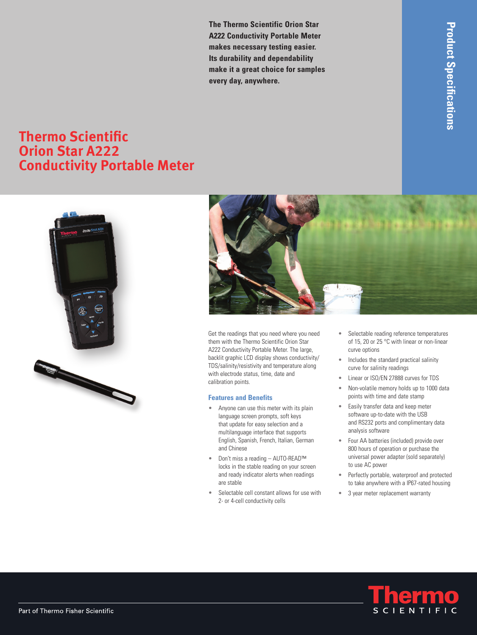**The Thermo Scientific Orion Star A222 Conductivity Portable Meter makes necessary testing easier. Its durability and dependability make it a great choice for samples every day, anywhere.**

## **Thermo Scientific Orion Star A222 Conductivity Portable Meter**





Get the readings that you need where you need them with the Thermo Scientific Orion Star A222 Conductivity Portable Meter. The large, backlit graphic LCD display shows conductivity/ TDS/salinity/resistivity and temperature along with electrode status, time, date and calibration points.

## **Features and Benefits**

- Anyone can use this meter with its plain language screen prompts, soft keys that update for easy selection and a multilanguage interface that supports English, Spanish, French, Italian, German and Chinese
- • Don't miss a reading AUTO-READ™ locks in the stable reading on your screen and ready indicator alerts when readings are stable
- Selectable cell constant allows for use with 2- or 4-cell conductivity cells
- • Selectable reading reference temperatures of 15, 20 or 25 °C with linear or non-linear curve options
- Includes the standard practical salinity curve for salinity readings
- • Linear or ISO/EN 27888 curves for TDS
- Non-volatile memory holds up to 1000 data points with time and date stamp
- Easily transfer data and keep meter software up-to-date with the USB and RS232 ports and complimentary data analysis software
- Four AA batteries (included) provide over 800 hours of operation or purchase the universal power adapter (sold separately) to use AC power
- • Perfectly portable, waterproof and protected to take anywhere with a IP67-rated housing
- 3 year meter replacement warranty